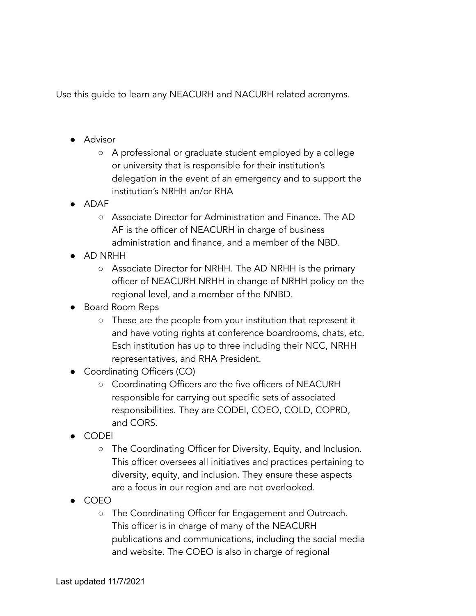Use this guide to learn any NEACURH and NACURH related acronyms.

- Advisor
	- A professional or graduate student employed by a college or university that is responsible for their institution's delegation in the event of an emergency and to support the institution's NRHH an/or RHA
- ADAF
	- Associate Director for Administration and Finance. The AD AF is the officer of NEACURH in charge of business administration and finance, and a member of the NBD.
- AD NRHH
	- Associate Director for NRHH. The AD NRHH is the primary officer of NEACURH NRHH in change of NRHH policy on the regional level, and a member of the NNBD.
- Board Room Reps
	- These are the people from your institution that represent it and have voting rights at conference boardrooms, chats, etc. Esch institution has up to three including their NCC, NRHH representatives, and RHA President.
- Coordinating Officers (CO)
	- Coordinating Officers are the five officers of NEACURH responsible for carrying out specific sets of associated responsibilities. They are CODEI, COEO, COLD, COPRD, and CORS.
- CODEI
	- The Coordinating Officer for Diversity, Equity, and Inclusion. This officer oversees all initiatives and practices pertaining to diversity, equity, and inclusion. They ensure these aspects are a focus in our region and are not overlooked.
- COEO
	- The Coordinating Officer for Engagement and Outreach. This officer is in charge of many of the NEACURH publications and communications, including the social media and website. The COEO is also in charge of regional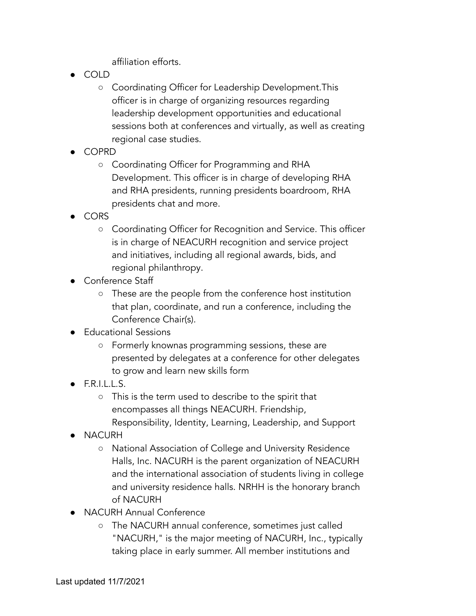affiliation efforts.

- COLD
	- Coordinating Officer for Leadership Development.This officer is in charge of organizing resources regarding leadership development opportunities and educational sessions both at conferences and virtually, as well as creating regional case studies.
- COPRD
	- Coordinating Officer for Programming and RHA Development. This officer is in charge of developing RHA and RHA presidents, running presidents boardroom, RHA presidents chat and more.
- CORS
	- Coordinating Officer for Recognition and Service. This officer is in charge of NEACURH recognition and service project and initiatives, including all regional awards, bids, and regional philanthropy.
- Conference Staff
	- These are the people from the conference host institution that plan, coordinate, and run a conference, including the Conference Chair(s).
- Educational Sessions
	- Formerly knownas programming sessions, these are presented by delegates at a conference for other delegates to grow and learn new skills form
- $\bullet$  F.R.I.L.L.S.
	- This is the term used to describe to the spirit that encompasses all things NEACURH. Friendship, Responsibility, Identity, Learning, Leadership, and Support
- **NACURH** 
	- National Association of College and University Residence Halls, Inc. NACURH is the parent organization of NEACURH and the international association of students living in college and university residence halls. NRHH is the honorary branch of NACURH
- **NACURH Annual Conference** 
	- The NACURH annual conference, sometimes just called "NACURH," is the major meeting of NACURH, Inc., typically taking place in early summer. All member institutions and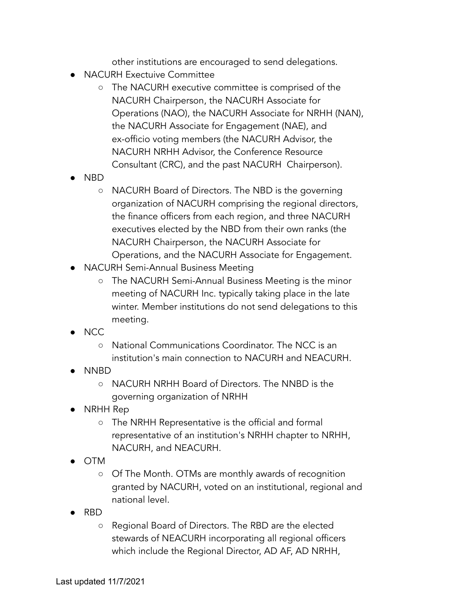other institutions are encouraged to send delegations.

- **NACURH Exectuive Committee** 
	- The NACURH executive committee is comprised of the NACURH Chairperson, the NACURH Associate for Operations (NAO), the NACURH Associate for NRHH (NAN), the NACURH Associate for Engagement (NAE), and ex-officio voting members (the NACURH Advisor, the NACURH NRHH Advisor, the Conference Resource Consultant (CRC), and the past NACURH Chairperson).
- NBD
	- NACURH Board of Directors. The NBD is the governing organization of NACURH comprising the regional directors, the finance officers from each region, and three NACURH executives elected by the NBD from their own ranks (the NACURH Chairperson, the NACURH Associate for Operations, and the NACURH Associate for Engagement.
- **NACURH Semi-Annual Business Meeting** 
	- The NACURH Semi-Annual Business Meeting is the minor meeting of NACURH Inc. typically taking place in the late winter. Member institutions do not send delegations to this meeting.
- NCC
	- National Communications Coordinator. The NCC is an institution's main connection to NACURH and NEACURH.
- NNBD
	- NACURH NRHH Board of Directors. The NNBD is the governing organization of NRHH
- NRHH Rep
	- The NRHH Representative is the official and formal representative of an institution's NRHH chapter to NRHH, NACURH, and NEACURH.
- OTM
	- Of The Month. OTMs are monthly awards of recognition granted by NACURH, voted on an institutional, regional and national level.
- RBD
	- Regional Board of Directors. The RBD are the elected stewards of NEACURH incorporating all regional officers which include the Regional Director, AD AF, AD NRHH,